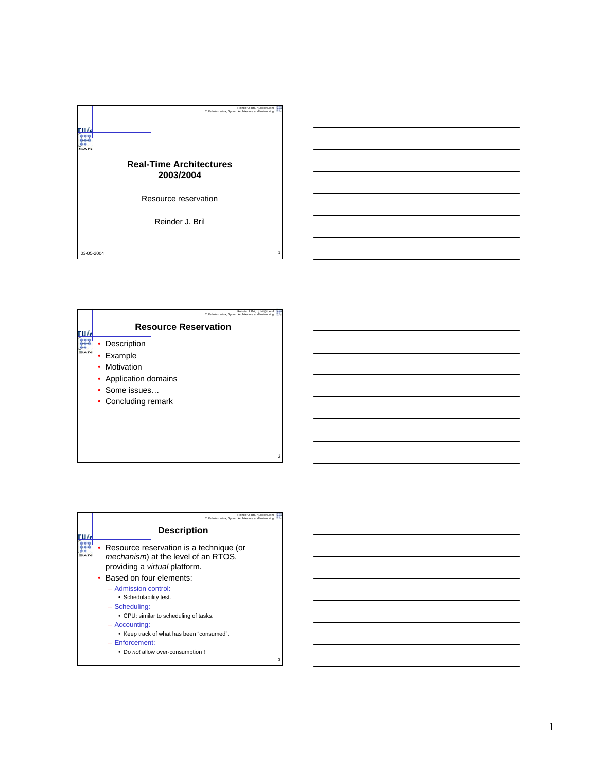|            | Reinder J. Bril, r.j.bril@tue.nl<br>TU/e Informatica, System Architecture and Networking |  |
|------------|------------------------------------------------------------------------------------------|--|
|            | <b>Real-Time Architectures</b><br>2003/2004                                              |  |
|            | Resource reservation                                                                     |  |
|            | Reinder J. Bril                                                                          |  |
| 03-05-2004 |                                                                                          |  |

| Reinder J. Bril, r.j.bril@tue.nl<br>TU/e Informatica, System Architecture and Networking              |
|-------------------------------------------------------------------------------------------------------|
| <b>Resource Reservation</b>                                                                           |
| Description<br>Example<br>Motivation<br>• Application domains<br>• Some issues<br>• Concluding remark |

| Reinder J. Bril. r.i.bril@tue.nl<br>TU/e Informatica. System Architecture and Networking                                                                                                                                         |
|----------------------------------------------------------------------------------------------------------------------------------------------------------------------------------------------------------------------------------|
| <b>Description</b>                                                                                                                                                                                                               |
| Resource reservation is a technique (or<br><i>mechanism</i> ) at the level of an RTOS,<br>providing a <i>virtual</i> platform.                                                                                                   |
| • Based on four elements:                                                                                                                                                                                                        |
| - Admission control:<br>• Schedulability test.<br>- Scheduling:<br>• CPU: similar to scheduling of tasks.<br>- Accounting:<br>• Keep track of what has been "consumed".<br>$-$ Enforcement:<br>. Do not allow over-consumption ! |
|                                                                                                                                                                                                                                  |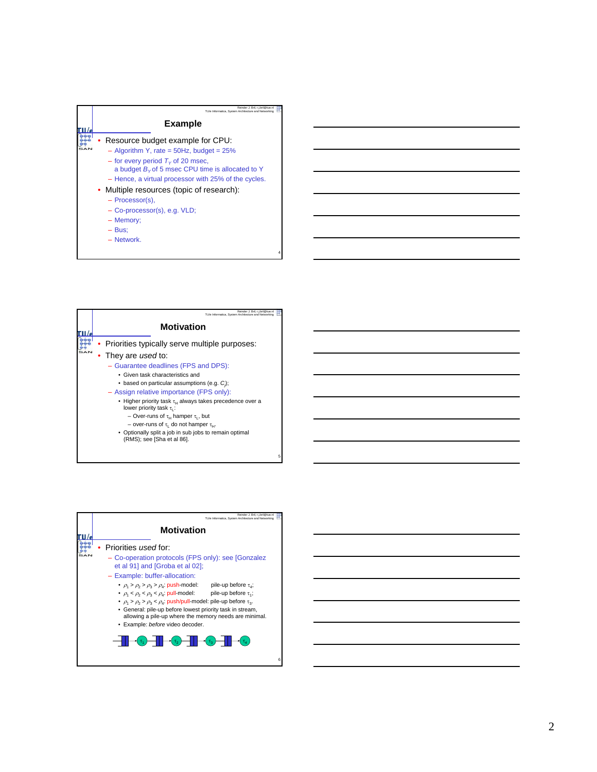

| Reinder J. Bril, r.i.bril@tue.nl<br>TU/e Informatica. System Architecture and Networking           |
|----------------------------------------------------------------------------------------------------|
| <b>Motivation</b>                                                                                  |
| • Priorities typically serve multiple purposes:                                                    |
| • They are used to:                                                                                |
| - Guarantee deadlines (FPS and DPS):                                                               |
| • Given task characteristics and                                                                   |
| • based on particular assumptions (e.g. C);                                                        |
| - Assign relative importance (FPS only):                                                           |
| • Higher priority task $\tau_H$ always takes precedence over a<br>lower priority task $\tau_{1}$ : |
| - Over-runs of $\tau_H$ hamper $\tau_I$ , but                                                      |
| - over-runs of $\tau_1$ do not hamper $\tau_{11}$ .                                                |
| • Optionally split a job in sub jobs to remain optimal<br>(RMS); see [Sha et al 86].               |

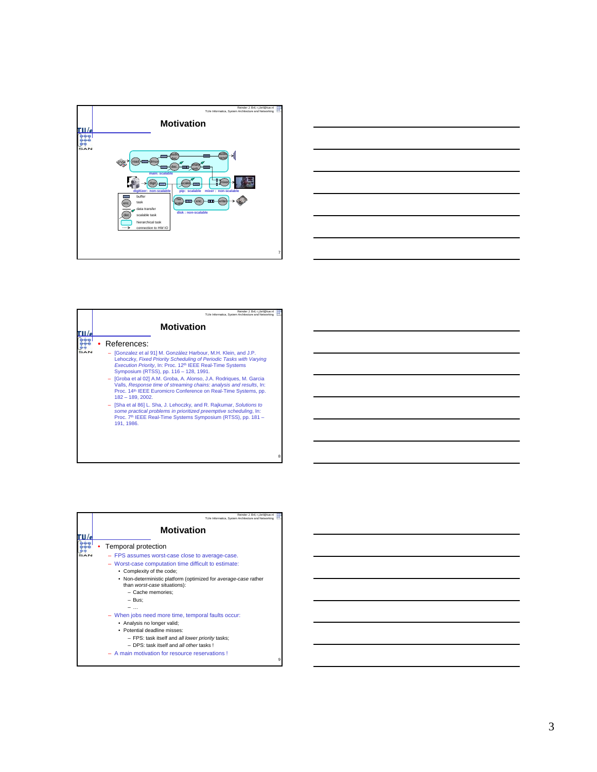



| Reinder J. Bril, r.j.bril@tue.nl<br>TU/e Informatica. System Architecture and Networking                                                                                                                                                                                                                                                                                                                                                                                                                                                                                                                                                                                                                                               |
|----------------------------------------------------------------------------------------------------------------------------------------------------------------------------------------------------------------------------------------------------------------------------------------------------------------------------------------------------------------------------------------------------------------------------------------------------------------------------------------------------------------------------------------------------------------------------------------------------------------------------------------------------------------------------------------------------------------------------------------|
| <b>Motivation</b>                                                                                                                                                                                                                                                                                                                                                                                                                                                                                                                                                                                                                                                                                                                      |
| References:<br>- [Gonzalez et al 91] M. González Harbour, M.H. Klein, and J.P.<br>Lehoczky, Fixed Priority Scheduling of Periodic Tasks with Varying<br>Execution Priority, In: Proc. 12 <sup>th</sup> IEEE Real-Time Systems<br>Symposium (RTSS), pp. 116 - 128, 1991.<br>- [Groba et al 02] A.M. Groba, A. Alonso, J.A. Rodrigues, M. Garcia<br>Valls, Response time of streaming chains: analysis and results, In:<br>Proc. 14th IEEE Euromicro Conference on Real-Time Systems, pp.<br>$182 - 189, 2002.$<br>- [Sha et al 86] L. Sha, J. Lehoczky, and R. Rajkumar, Solutions to<br>some practical problems in prioritized preemptive scheduling, In:<br>Proc. 7th IEEE Real-Time Systems Symposium (RTSS), pp. 181 -<br>191.1986. |

| Reinder J. Bril. r.i.bril@tue.nl<br>TU/e Informatica. System Architecture and Networking                                                                                                                                                                                                                                                                                                                                                                                                                                                                                |
|-------------------------------------------------------------------------------------------------------------------------------------------------------------------------------------------------------------------------------------------------------------------------------------------------------------------------------------------------------------------------------------------------------------------------------------------------------------------------------------------------------------------------------------------------------------------------|
| <b>Motivation</b>                                                                                                                                                                                                                                                                                                                                                                                                                                                                                                                                                       |
| Temporal protection<br>- FPS assumes worst-case close to average-case.<br>- Worst-case computation time difficult to estimate:<br>• Complexity of the code;<br>• Non-deterministic platform (optimized for average-case rather<br>than worst-case situations):<br>- Cache memories;<br>- Bus:<br>- When jobs need more time, temporal faults occur:<br>• Analysis no longer valid;<br>• Potential deadline misses:<br>- FPS: task itself and all lower priority tasks;<br>- DPS: task itself and all other tasks !<br>A main motivation for resource reservations!<br>g |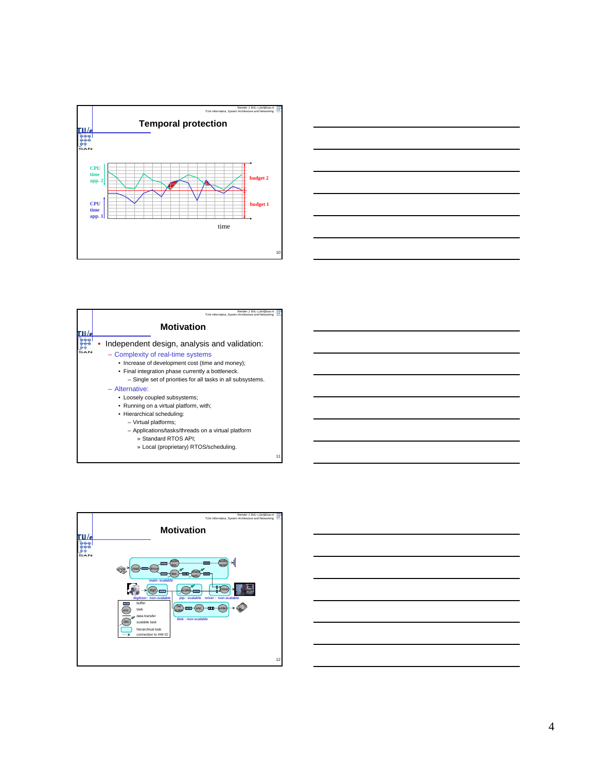







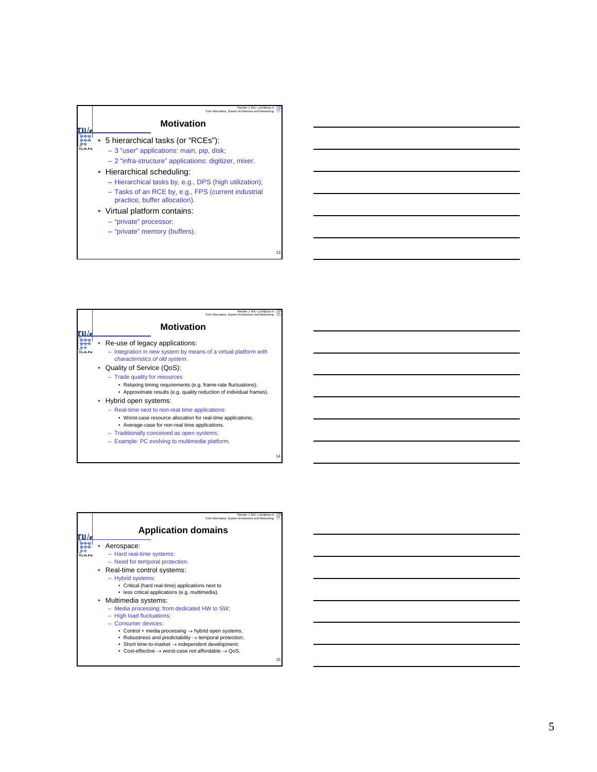

| Reinder J. Bril. r.i.bril@tue.n<br>TU/e Informatica. System Architecture and Networking                                                                                                                                                                                                                                                                                                                                                                                                                                                                                                                                                    |  |
|--------------------------------------------------------------------------------------------------------------------------------------------------------------------------------------------------------------------------------------------------------------------------------------------------------------------------------------------------------------------------------------------------------------------------------------------------------------------------------------------------------------------------------------------------------------------------------------------------------------------------------------------|--|
| <b>Motivation</b>                                                                                                                                                                                                                                                                                                                                                                                                                                                                                                                                                                                                                          |  |
| Re-use of legacy applications:<br>- Integration in new system by means of a virtual platform with<br>characteristics of old system.<br>• Quality of Service (QoS):<br>- Trade quality for resources<br>• Relaxing timing requirements (e.g. frame-rate fluctuations);<br>• Approximate results (e.g. quality reduction of individual frames).<br>Hybrid open systems:<br>- Real-time next to non-real time applications:<br>• Worst-case resource allocation for real-time applications;<br>• Average-case for non-real time applications.<br>- Traditionally conceived as open systems;<br>- Example: PC evolving to multimedia platform. |  |
| 14                                                                                                                                                                                                                                                                                                                                                                                                                                                                                                                                                                                                                                         |  |

| Reinder J. Bril. r.i.bril@tue.nl<br>TU/e Informatica. System Architecture and Networking                                                                                                                                                                                                                                                                                                                       |
|----------------------------------------------------------------------------------------------------------------------------------------------------------------------------------------------------------------------------------------------------------------------------------------------------------------------------------------------------------------------------------------------------------------|
| <b>Application domains</b>                                                                                                                                                                                                                                                                                                                                                                                     |
| Aerospace:<br>- Hard real-time systems;<br>- Need for temporal protection.<br>• Real-time control systems:<br>- Hybrid systems:<br>• Critical (hard real-time) applications next to<br>· less critical applications (e.g. multimedia).                                                                                                                                                                         |
| Multimedia systems:<br>- Media processing: from dedicated HW to SW;<br>- High load fluctuations;<br>- Consumer devices:<br>• Control + media processing $\rightarrow$ hybrid open systems;<br>Robustness and predictability $\rightarrow$ temporal protection;<br>• Short time-to-market $\rightarrow$ independent development;<br>• Cost-effective $\rightarrow$ worst-case not affordable $\rightarrow$ QoS. |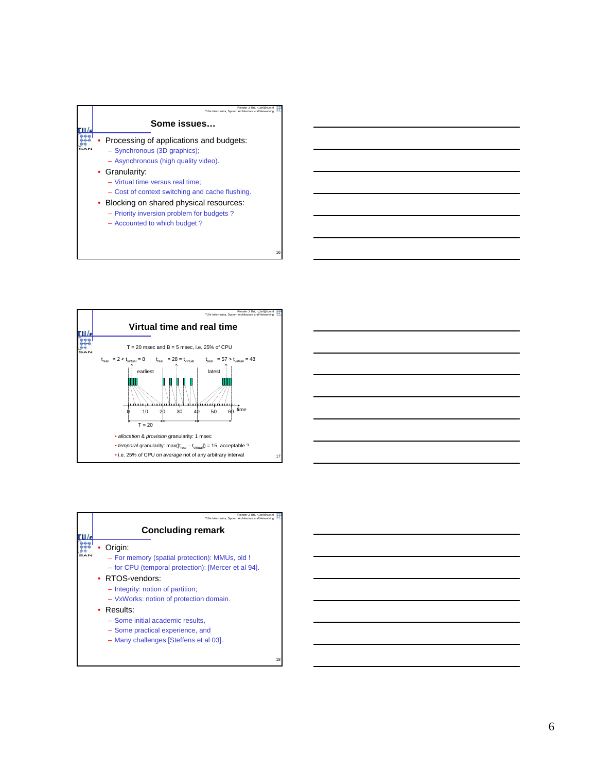